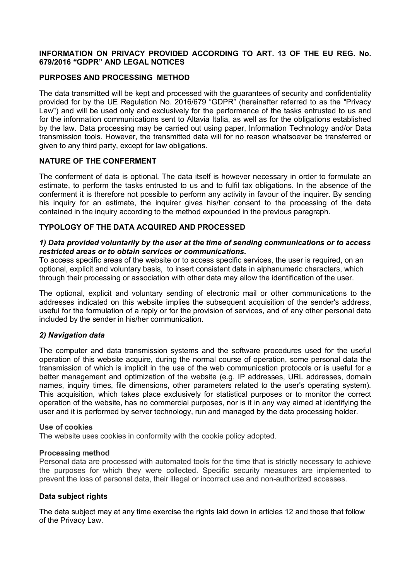### **INFORMATION ON PRIVACY PROVIDED ACCORDING TO ART. 13 OF THE EU REG. No. 679/2016 "GDPR" AND LEGAL NOTICES**

# **PURPOSES AND PROCESSING METHOD**

The data transmitted will be kept and processed with the guarantees of security and confidentiality provided for by the UE Regulation No. 2016/679 "GDPR" (hereinafter referred to as the "Privacy Law") and will be used only and exclusively for the performance of the tasks entrusted to us and for the information communications sent to Altavia Italia, as well as for the obligations established by the law. Data processing may be carried out using paper, Information Technology and/or Data transmission tools. However, the transmitted data will for no reason whatsoever be transferred or given to any third party, except for law obligations.

# **NATURE OF THE CONFERMENT**

The conferment of data is optional. The data itself is however necessary in order to formulate an estimate, to perform the tasks entrusted to us and to fulfil tax obligations. In the absence of the conferment it is therefore not possible to perform any activity in favour of the inquirer. By sending his inquiry for an estimate, the inquirer gives his/her consent to the processing of the data contained in the inquiry according to the method expounded in the previous paragraph.

# **TYPOLOGY OF THE DATA ACQUIRED AND PROCESSED**

### *1) Data provided voluntarily by the user at the time of sending communications or to access restricted areas or to obtain services or communications.*

To access specific areas of the website or to access specific services, the user is required, on an optional, explicit and voluntary basis, to insert consistent data in alphanumeric characters, which through their processing or association with other data may allow the identification of the user.

The optional, explicit and voluntary sending of electronic mail or other communications to the addresses indicated on this website implies the subsequent acquisition of the sender's address, useful for the formulation of a reply or for the provision of services, and of any other personal data included by the sender in his/her communication.

# *2) Navigation data*

The computer and data transmission systems and the software procedures used for the useful operation of this website acquire, during the normal course of operation, some personal data the transmission of which is implicit in the use of the web communication protocols or is useful for a better management and optimization of the website (e.g. IP addresses, URL addresses, domain names, inquiry times, file dimensions, other parameters related to the user's operating system). This acquisition, which takes place exclusively for statistical purposes or to monitor the correct operation of the website, has no commercial purposes, nor is it in any way aimed at identifying the user and it is performed by server technology, run and managed by the data processing holder.

#### **Use of cookies**

The website uses cookies in conformity with the cookie policy adopted.

#### **Processing method**

Personal data are processed with automated tools for the time that is strictly necessary to achieve the purposes for which they were collected. Specific security measures are implemented to prevent the loss of personal data, their illegal or incorrect use and non-authorized accesses.

#### **Data subject rights**

The data subject may at any time exercise the rights laid down in articles 12 and those that follow of the Privacy Law.